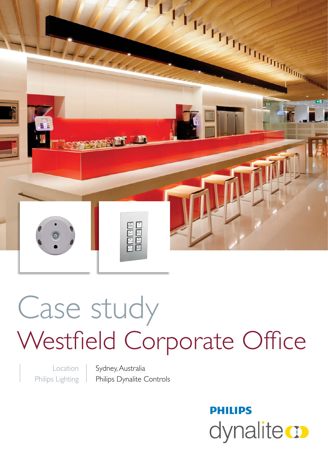

# Case study Westfield Corporate Office

Location Philips Lighting Sydney, Australia Philips Dynalite Controls

> **PHILIPS** dynalite **o**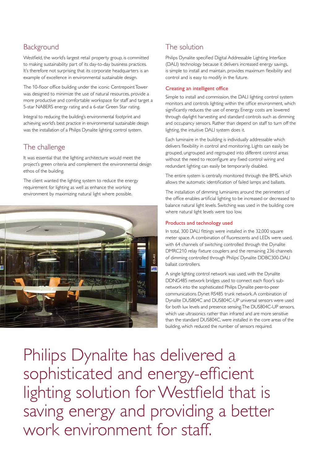## **Background**

Westfield, the world's largest retail property group, is committed to making sustainability part of its day-to-day business practices. It's therefore not surprising that its corporate headquarters is an example of excellence in environmental sustainable design.

The 10-floor office building under the iconic Centrepoint Tower was designed to minimize the use of natural resources, provide a more productive and comfortable workspace for staff and target a 5-star NABERS energy rating and a 6-star Green Star rating.

Integral to reducing the building's environmental footprint and achieving world's best practice in environmental sustainable design was the installation of a Philips Dynalite lighting control system.

# The challenge

It was essential that the lighting architecture would meet the project's green criteria and complement the environmental design ethos of the building.

The client wanted the lighting system to reduce the energy requirement for lighting as well as enhance the working environment by maximizing natural light where possible.



# The solution

Philips Dynalite specified Digital Addressable Lighting Interface (DALI) technology because it delivers increased energy savings, is simple to install and maintain, provides maximum flexibility and control and is easy to modify in the future.

#### Creating an intelligent office

Simple to install and commission, the DALI lighting control system monitors and controls lighting within the office environment, which significantly reduces the use of energy. Energy costs are lowered through daylight harvesting and standard controls such as dimming and occupancy sensors. Rather than depend on staff to turn off the lighting, the intuitive DALI system does it.

Each luminaire in the building is individually addressable which delivers flexibility in control and monitoring. Lights can easily be grouped, ungrouped and regrouped into different control areas without the need to reconfigure any fixed control wiring and redundant lighting can easily be temporarily disabled.

The entire system is centrally monitored through the BMS, which allows the automatic identification of failed lamps and ballasts.

The installation of dimming luminaires around the perimeters of the office enables artificial lighting to be increased or decreased to balance natural light levels. Switching was used in the building core where natural light levels were too low.

#### Products and technology used

In total, 300 DALI fittings were installed in the 32,000 square meter space. A combination of fluorescents and LEDs were used, with 64 channels of switching controlled through the Dynalite DMRC210 relay fixture couplers and the remaining 236 channels of dimming controlled through Philips' Dynalite DDBC300-DALI ballast controllers.

A single lighting control network was used, with the Dynalite DDNG485 network bridges used to connect each floor's subnetwork into the sophisticated Philips Dynalite peer-to-peer communications Dynet RS485 trunk network. A combination of Dynalite DUS804C and DUS804C-UP universal sensors were used for both lux levels and presence sensing. The DUS804C-UP sensors, which use ultrasonics rather than infrared and are more sensitive than the standard DUS804C, were installed in the core areas of the building, which reduced the number of sensors required.

Philips Dynalite has delivered a sophisticated and energy-efficient lighting solution for Westfield that is saving energy and providing a better work environment for staff.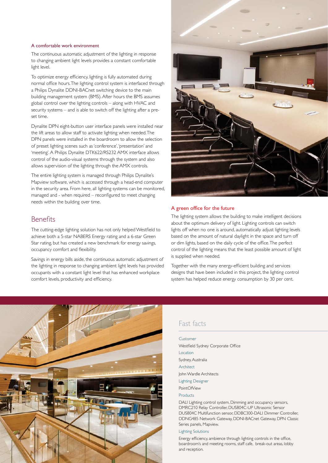#### A comfortable work environment

The continuous automatic adjustment of the lighting in response to changing ambient light levels provides a constant comfortable light level.

To optimize energy efficiency, lighting is fully automated during normal office hours. The lighting control system is interfaced through a Philips Dynalite DDNI-BACnet switching device to the main building management system (BMS). After hours the BMS assumes global control over the lighting controls – along with HVAC and security systems – and is able to switch off the lighting after a preset time.

Dynalite DPN eight-button user interface panels were installed near the lift areas to allow staff to activate lighting when needed. The DPN panels were installed in the boardroom to allow the selection of preset lighting scenes such as 'conference', 'presentation' and 'meeting'. A Philips Dynalite DTK622/RS232 AMX interface allows control of the audio-visual systems through the system and also allows supervision of the lighting through the AMX controls.

The entire lighting system is managed through Philips Dynalite's Mapview software, which is accessed through a head-end computer in the security area. From here, all lighting systems can be monitored, managed and - when required – reconfigured to meet changing needs within the building over time.

## **Benefits**

The cutting-edge lighting solution has not only helped Westfield to achieve both a 5-star NABERS Energy rating and a 6-star Green Star rating, but has created a new benchmark for energy savings, occupancy comfort and flexibility.

Savings in energy bills aside, the continuous automatic adjustment of the lighting in response to changing ambient light levels has provided occupants with a constant light level that has enhanced workplace comfort levels, productivity and efficiency.



#### A green office for the future

The lighting system allows the building to make intelligent decisions about the optimum delivery of light. Lighting controls can switch lights off when no one is around, automatically adjust lighting levels based on the amount of natural daylight in the space and turn off or dim lights, based on the daily cycle of the office. The perfect control of the lighting means that the least possible amount of light is supplied when needed.

Together with the many energy-efficient building and services designs that have been included in this project, the lighting control system has helped reduce energy consumption by 30 per cent.



## Fast facts

Customer Westfield Sydney Corporate Office Location Sydney, Australia **Architect** John Wardle Architects Lighting Designer PointOfView Products

DALI Lighting control system, Dimming and occupancy sensors, DMRC210 Relay Controller, DUS804C-UP Ultrasonic Sensor DUS804C Multifunction sensor, DDBC300-DALI Dimmer Controller, DDNG485 Network Gateway, DDNI-BACnet Gateway, DPN Classic Series panels, Mapview.

Lighting Solutions

Energy efficiency, ambience through lighting controls in the office, boardroom's and meeting rooms, staff cafe, break-out areas, lobby and reception.